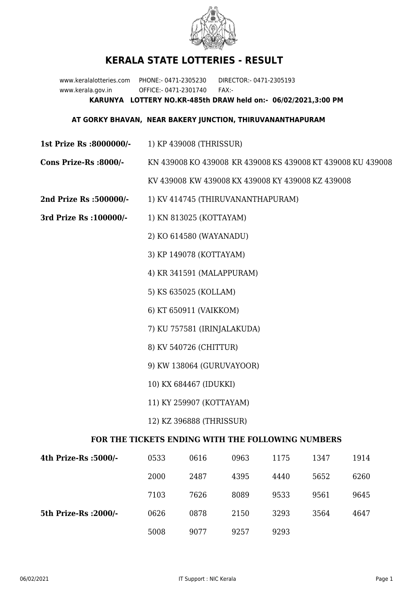

## **KERALA STATE LOTTERIES - RESULT**

www.keralalotteries.com PHONE:- 0471-2305230 DIRECTOR:- 0471-2305193 www.kerala.gov.in OFFICE:- 0471-2301740 FAX:- **KARUNYA LOTTERY NO.KR-485th DRAW held on:- 06/02/2021,3:00 PM**

## **AT GORKY BHAVAN, NEAR BAKERY JUNCTION, THIRUVANANTHAPURAM**

- **1st Prize Rs :8000000/-** 1) KP 439008 (THRISSUR)
- **Cons Prize-Rs :8000/-** KN 439008 KO 439008 KR 439008 KS 439008 KT 439008 KU 439008

KV 439008 KW 439008 KX 439008 KY 439008 KZ 439008

- **2nd Prize Rs :500000/-** 1) KV 414745 (THIRUVANANTHAPURAM)
- **3rd Prize Rs :100000/-** 1) KN 813025 (KOTTAYAM)

2) KO 614580 (WAYANADU)

3) KP 149078 (KOTTAYAM)

4) KR 341591 (MALAPPURAM)

- 5) KS 635025 (KOLLAM)
- 6) KT 650911 (VAIKKOM)
- 7) KU 757581 (IRINJALAKUDA)
- 8) KV 540726 (CHITTUR)
- 9) KW 138064 (GURUVAYOOR)
- 10) KX 684467 (IDUKKI)
- 11) KY 259907 (KOTTAYAM)
- 12) KZ 396888 (THRISSUR)

## **FOR THE TICKETS ENDING WITH THE FOLLOWING NUMBERS**

| 4th Prize-Rs :5000/-  | 0533 | 0616 | 0963 | 1175 | 1347 | 1914 |
|-----------------------|------|------|------|------|------|------|
|                       | 2000 | 2487 | 4395 | 4440 | 5652 | 6260 |
|                       | 7103 | 7626 | 8089 | 9533 | 9561 | 9645 |
| 5th Prize-Rs : 2000/- | 0626 | 0878 | 2150 | 3293 | 3564 | 4647 |
|                       | 5008 | 9077 | 9257 | 9293 |      |      |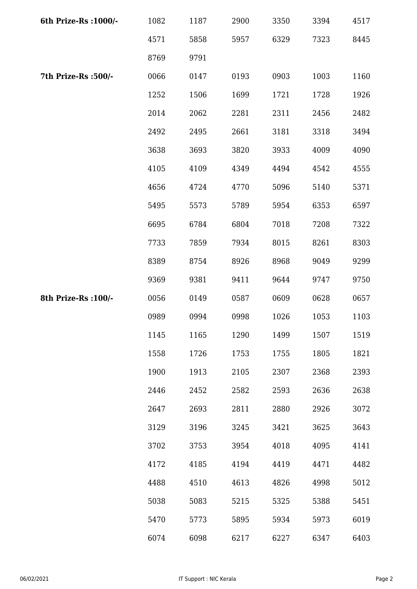| 6th Prize-Rs : 1000/- | 1082 | 1187 | 2900 | 3350 | 3394 | 4517 |
|-----------------------|------|------|------|------|------|------|
|                       | 4571 | 5858 | 5957 | 6329 | 7323 | 8445 |
|                       | 8769 | 9791 |      |      |      |      |
| 7th Prize-Rs :500/-   | 0066 | 0147 | 0193 | 0903 | 1003 | 1160 |
|                       | 1252 | 1506 | 1699 | 1721 | 1728 | 1926 |
|                       | 2014 | 2062 | 2281 | 2311 | 2456 | 2482 |
|                       | 2492 | 2495 | 2661 | 3181 | 3318 | 3494 |
|                       | 3638 | 3693 | 3820 | 3933 | 4009 | 4090 |
|                       | 4105 | 4109 | 4349 | 4494 | 4542 | 4555 |
|                       | 4656 | 4724 | 4770 | 5096 | 5140 | 5371 |
|                       | 5495 | 5573 | 5789 | 5954 | 6353 | 6597 |
|                       | 6695 | 6784 | 6804 | 7018 | 7208 | 7322 |
|                       | 7733 | 7859 | 7934 | 8015 | 8261 | 8303 |
|                       | 8389 | 8754 | 8926 | 8968 | 9049 | 9299 |
|                       | 9369 | 9381 | 9411 | 9644 | 9747 | 9750 |
| 8th Prize-Rs : 100/-  | 0056 | 0149 | 0587 | 0609 | 0628 | 0657 |
|                       | 0989 | 0994 | 0998 | 1026 | 1053 | 1103 |
|                       | 1145 | 1165 | 1290 | 1499 | 1507 | 1519 |
|                       | 1558 | 1726 | 1753 | 1755 | 1805 | 1821 |
|                       | 1900 | 1913 | 2105 | 2307 | 2368 | 2393 |
|                       | 2446 | 2452 | 2582 | 2593 | 2636 | 2638 |
|                       | 2647 | 2693 | 2811 | 2880 | 2926 | 3072 |
|                       | 3129 | 3196 | 3245 | 3421 | 3625 | 3643 |
|                       | 3702 | 3753 | 3954 | 4018 | 4095 | 4141 |
|                       | 4172 | 4185 | 4194 | 4419 | 4471 | 4482 |
|                       | 4488 | 4510 | 4613 | 4826 | 4998 | 5012 |
|                       | 5038 | 5083 | 5215 | 5325 | 5388 | 5451 |
|                       | 5470 | 5773 | 5895 | 5934 | 5973 | 6019 |
|                       | 6074 | 6098 | 6217 | 6227 | 6347 | 6403 |